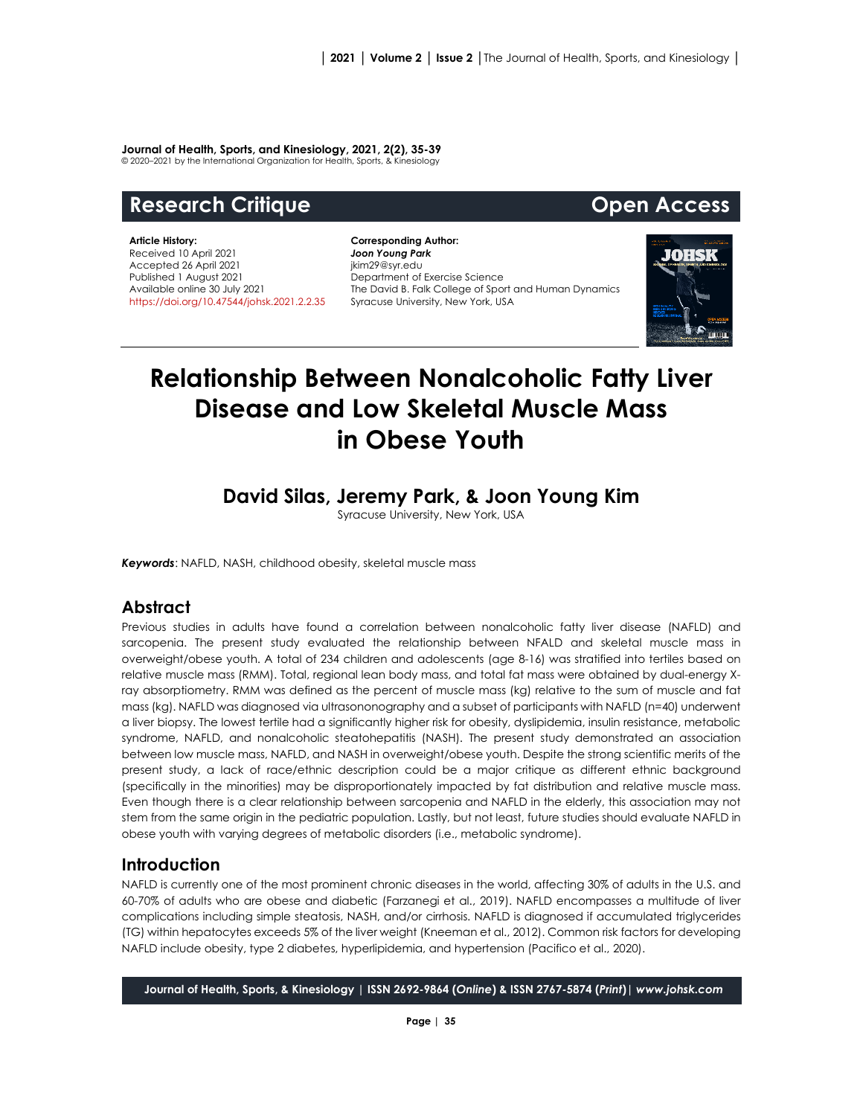#### **Journal of Health, Sports, and Kinesiology, 2021, 2(2), 35-39**

© 2020–2021 by the International Organization for Health, Sports, & Kinesiology

# **Research Critique Community Community Research Critique Community Community Community Community Community Community**

**Article History:** Received 10 April 2021 Accepted 26 April 2021 Published 1 August 2021 Available online 30 July 2021 [https://doi.org/10.47544/johsk.2021.2.2.3](https://doi.org/10.47544/johsk.2021.2.2.)5

**Corresponding Author:** *Joon Young Park* jkim29@syr.edu Department of Exercise Science The David B. Falk College of Sport and Human Dynamics Syracuse University, New York, USA



# **Relationship Between Nonalcoholic Fatty Liver Disease and Low Skeletal Muscle Mass in Obese Youth**

## **David Silas, Jeremy Park, & Joon Young Kim**

Syracuse University, New York, USA

*Keywords*: NAFLD, NASH, childhood obesity, skeletal muscle mass

#### **Abstract**

Previous studies in adults have found a correlation between nonalcoholic fatty liver disease (NAFLD) and sarcopenia. The present study evaluated the relationship between NFALD and skeletal muscle mass in overweight/obese youth. A total of 234 children and adolescents (age 8-16) was stratified into tertiles based on relative muscle mass (RMM). Total, regional lean body mass, and total fat mass were obtained by dual-energy Xray absorptiometry. RMM was defined as the percent of muscle mass (kg) relative to the sum of muscle and fat mass (kg). NAFLD was diagnosed via ultrasononography and a subset of participants with NAFLD (n=40) underwent a liver biopsy. The lowest tertile had a significantly higher risk for obesity, dyslipidemia, insulin resistance, metabolic syndrome, NAFLD, and nonalcoholic steatohepatitis (NASH). The present study demonstrated an association between low muscle mass, NAFLD, and NASH in overweight/obese youth. Despite the strong scientific merits of the present study, a lack of race/ethnic description could be a major critique as different ethnic background (specifically in the minorities) may be disproportionately impacted by fat distribution and relative muscle mass. Even though there is a clear relationship between sarcopenia and NAFLD in the elderly, this association may not stem from the same origin in the pediatric population. Lastly, but not least, future studies should evaluate NAFLD in obese youth with varying degrees of metabolic disorders (i.e., metabolic syndrome).

#### **Introduction**

NAFLD is currently one of the most prominent chronic diseases in the world, affecting 30% of adults in the U.S. and 60-70% of adults who are obese and diabetic (Farzanegi et al., 2019). NAFLD encompasses a multitude of liver complications including simple steatosis, NASH, and/or cirrhosis. NAFLD is diagnosed if accumulated triglycerides (TG) within hepatocytes exceeds 5% of the liver weight (Kneeman et al., 2012). Common risk factors for developing NAFLD include obesity, type 2 diabetes, hyperlipidemia, and hypertension (Pacifico et al., 2020).

**Journal of Health, Sports, & Kinesiology | ISSN 2692-9864 (***Online***) & ISSN 2767-5874 (***Print***)|** *www.johsk.com*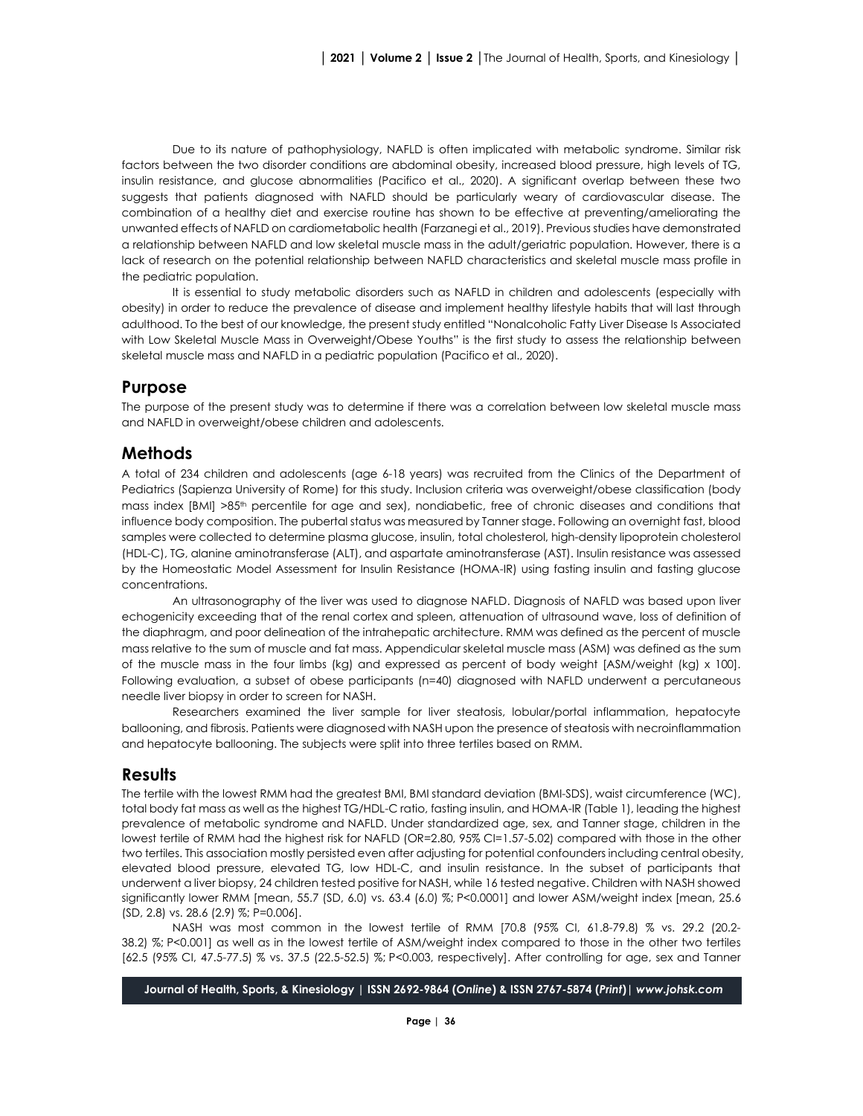Due to its nature of pathophysiology, NAFLD is often implicated with metabolic syndrome. Similar risk factors between the two disorder conditions are abdominal obesity, increased blood pressure, high levels of TG, insulin resistance, and glucose abnormalities (Pacifico et al., 2020). A significant overlap between these two suggests that patients diagnosed with NAFLD should be particularly weary of cardiovascular disease. The combination of a healthy diet and exercise routine has shown to be effective at preventing/ameliorating the unwanted effects of NAFLD on cardiometabolic health (Farzanegi et al., 2019). Previous studies have demonstrated a relationship between NAFLD and low skeletal muscle mass in the adult/geriatric population. However, there is a lack of research on the potential relationship between NAFLD characteristics and skeletal muscle mass profile in the pediatric population.

It is essential to study metabolic disorders such as NAFLD in children and adolescents (especially with obesity) in order to reduce the prevalence of disease and implement healthy lifestyle habits that will last through adulthood. To the best of our knowledge, the present study entitled "Nonalcoholic Fatty Liver Disease Is Associated with Low Skeletal Muscle Mass in Overweight/Obese Youths" is the first study to assess the relationship between skeletal muscle mass and NAFLD in a pediatric population (Pacifico et al., 2020).

### **Purpose**

The purpose of the present study was to determine if there was a correlation between low skeletal muscle mass and NAFLD in overweight/obese children and adolescents.

### **Methods**

A total of 234 children and adolescents (age 6-18 years) was recruited from the Clinics of the Department of Pediatrics (Sapienza University of Rome) for this study. Inclusion criteria was overweight/obese classification (body mass index [BMI] >85<sup>th</sup> percentile for age and sex), nondiabetic, free of chronic diseases and conditions that influence body composition. The pubertal status was measured by Tanner stage. Following an overnight fast, blood samples were collected to determine plasma glucose, insulin, total cholesterol, high-density lipoprotein cholesterol (HDL-C), TG, alanine aminotransferase (ALT), and aspartate aminotransferase (AST). Insulin resistance was assessed by the Homeostatic Model Assessment for Insulin Resistance (HOMA-IR) using fasting insulin and fasting glucose concentrations.

An ultrasonography of the liver was used to diagnose NAFLD. Diagnosis of NAFLD was based upon liver echogenicity exceeding that of the renal cortex and spleen, attenuation of ultrasound wave, loss of definition of the diaphragm, and poor delineation of the intrahepatic architecture. RMM was defined as the percent of muscle mass relative to the sum of muscle and fat mass. Appendicular skeletal muscle mass (ASM) was defined as the sum of the muscle mass in the four limbs (kg) and expressed as percent of body weight [ASM/weight (kg) x 100]. Following evaluation, a subset of obese participants (n=40) diagnosed with NAFLD underwent a percutaneous needle liver biopsy in order to screen for NASH.

Researchers examined the liver sample for liver steatosis, lobular/portal inflammation, hepatocyte ballooning, and fibrosis. Patients were diagnosed with NASH upon the presence of steatosis with necroinflammation and hepatocyte ballooning. The subjects were split into three tertiles based on RMM.

#### **Results**

The tertile with the lowest RMM had the greatest BMI, BMI standard deviation (BMI-SDS), waist circumference (WC), total body fat mass as well as the highest TG/HDL-C ratio, fasting insulin, and HOMA-IR (Table 1), leading the highest prevalence of metabolic syndrome and NAFLD. Under standardized age, sex, and Tanner stage, children in the lowest tertile of RMM had the highest risk for NAFLD (OR=2.80, 95% CI=1.57-5.02) compared with those in the other two tertiles. This association mostly persisted even after adjusting for potential confounders including central obesity, elevated blood pressure, elevated TG, low HDL-C, and insulin resistance. In the subset of participants that underwent a liver biopsy, 24 children tested positive for NASH, while 16 tested negative. Children with NASH showed significantly lower RMM [mean, 55.7 (SD, 6.0) vs. 63.4 (6.0) %; P<0.0001] and lower ASM/weight index [mean, 25.6 (SD, 2.8) vs. 28.6 (2.9) %; P=0.006].

NASH was most common in the lowest tertile of RMM [70.8 (95% CI, 61.8-79.8) % vs. 29.2 (20.2- 38.2) %; P<0.001] as well as in the lowest tertile of ASM/weight index compared to those in the other two tertiles [62.5 (95% CI, 47.5-77.5) % vs. 37.5 (22.5-52.5) %; P<0.003, respectively]. After controlling for age, sex and Tanner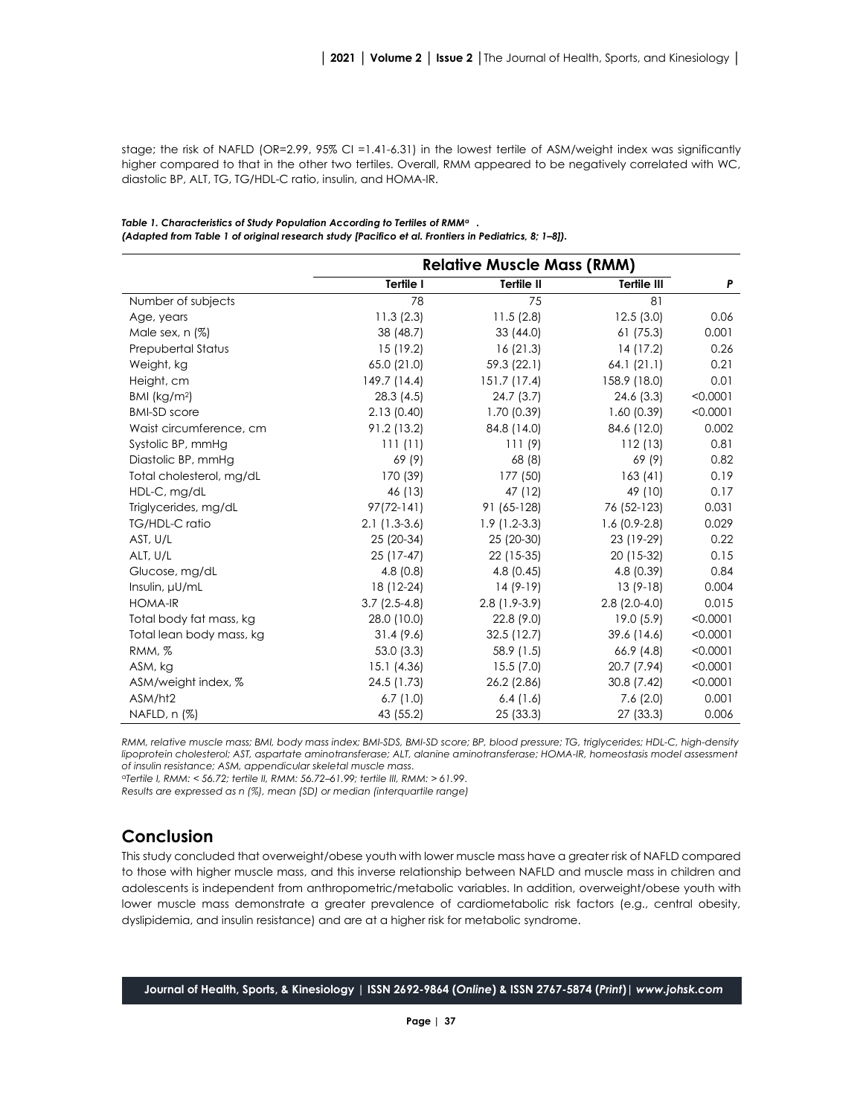stage; the risk of NAFLD (OR=2.99, 95% CI =1.41-6.31) in the lowest tertile of ASM/weight index was significantly higher compared to that in the other two tertiles. Overall, RMM appeared to be negatively correlated with WC, diastolic BP, ALT, TG, TG/HDL-C ratio, insulin, and HOMA-IR.

|                          | <b>Relative Muscle Mass (RMM)</b> |                |                    |          |
|--------------------------|-----------------------------------|----------------|--------------------|----------|
|                          | Tertile I                         | Tertile II     | <b>Tertile III</b> | P        |
| Number of subjects       | 78                                | 75             | 81                 |          |
| Age, years               | 11.3(2.3)                         | 11.5(2.8)      | 12.5(3.0)          | 0.06     |
| Male sex, n (%)          | 38 (48.7)                         | 33(44.0)       | 61(75.3)           | 0.001    |
| Prepubertal Status       | 15 (19.2)                         | 16(21.3)       | 14 (17.2)          | 0.26     |
| Weight, kg               | 65.0 (21.0)                       | 59.3 (22.1)    | 64.1(21.1)         | 0.21     |
| Height, cm               | 149.7 (14.4)                      | 151.7(17.4)    | 158.9 (18.0)       | 0.01     |
| BMI ( $kg/m2$ )          | 28.3(4.5)                         | 24.7(3.7)      | 24.6(3.3)          | < 0.0001 |
| <b>BMI-SD</b> score      | 2.13(0.40)                        | 1.70(0.39)     | 1.60(0.39)         | < 0.0001 |
| Waist circumference, cm  | 91.2 (13.2)                       | 84.8 (14.0)    | 84.6 (12.0)        | 0.002    |
| Systolic BP, mmHg        | 111(11)                           | 111(9)         | 112(13)            | 0.81     |
| Diastolic BP, mmHg       | 69 (9)                            | 68 (8)         | 69 (9)             | 0.82     |
| Total cholesterol, mg/dL | 170 (39)                          | 177 (50)       | 163(41)            | 0.19     |
| HDL-C, mg/dL             | 46 (13)                           | 47 (12)        | 49 (10)            | 0.17     |
| Triglycerides, mg/dL     | $97(72-141)$                      | 91 (65-128)    | 76 (52-123)        | 0.031    |
| TG/HDL-C ratio           | $2.1(1.3-3.6)$                    | $1.9(1.2-3.3)$ | $1.6(0.9-2.8)$     | 0.029    |
| AST, U/L                 | 25 (20-34)                        | 25 (20-30)     | 23 (19-29)         | 0.22     |
| ALT, U/L                 | 25 (17-47)                        | 22 (15-35)     | 20 (15-32)         | 0.15     |
| Glucose, mg/dL           | 4.8(0.8)                          | 4.8(0.45)      | 4.8 (0.39)         | 0.84     |
| Insulin, µU/mL           | 18 (12-24)                        | $14(9-19)$     | $13(9-18)$         | 0.004    |
| <b>HOMA-IR</b>           | $3.7(2.5-4.8)$                    | $2.8(1.9-3.9)$ | $2.8(2.0-4.0)$     | 0.015    |
| Total body fat mass, kg  | 28.0 (10.0)                       | 22.8 (9.0)     | 19.0(5.9)          | < 0.0001 |
| Total lean body mass, kg | 31.4(9.6)                         | 32.5(12.7)     | 39.6 (14.6)        | < 0.0001 |
| RMM, %                   | 53.0 (3.3)                        | 58.9 (1.5)     | 66.9 (4.8)         | < 0.0001 |
| ASM, kg                  | 15.1 (4.36)                       | 15.5(7.0)      | 20.7 (7.94)        | < 0.0001 |
| ASM/weight index, %      | 24.5 (1.73)                       | 26.2 (2.86)    | 30.8 (7.42)        | < 0.0001 |
| ASM/ht2                  | 6.7(1.0)                          | 6.4(1.6)       | 7.6(2.0)           | 0.001    |
| NAFLD, n (%)             | 43 (55.2)                         | 25(33.3)       | 27 (33.3)          | 0.006    |

*Table 1. Characteristics of Study Population According to Tertiles of RMMa . (Adapted from Table 1 of original research study [Pacifico et al. Frontiers in Pediatrics, 8; 1–8]).*

*RMM, relative muscle mass; BMI, body mass index; BMI-SDS, BMI-SD score; BP, blood pressure; TG, triglycerides; HDL-C, high-density lipoprotein cholesterol; AST, aspartate aminotransferase; ALT, alanine aminotransferase; HOMA-IR, homeostasis model assessment of insulin resistance; ASM, appendicular skeletal muscle mass*.

<sup>a</sup>*Tertile I, RMM: < 56.72; tertile II, RMM: 56.72–61.99; tertile III, RMM: > 61.99*.

*Results are expressed as n (%), mean (SD) or median (interquartile range)*

#### **Conclusion**

This study concluded that overweight/obese youth with lower muscle mass have a greater risk of NAFLD compared to those with higher muscle mass, and this inverse relationship between NAFLD and muscle mass in children and adolescents is independent from anthropometric/metabolic variables. In addition, overweight/obese youth with lower muscle mass demonstrate a greater prevalence of cardiometabolic risk factors (e.g., central obesity, dyslipidemia, and insulin resistance) and are at a higher risk for metabolic syndrome.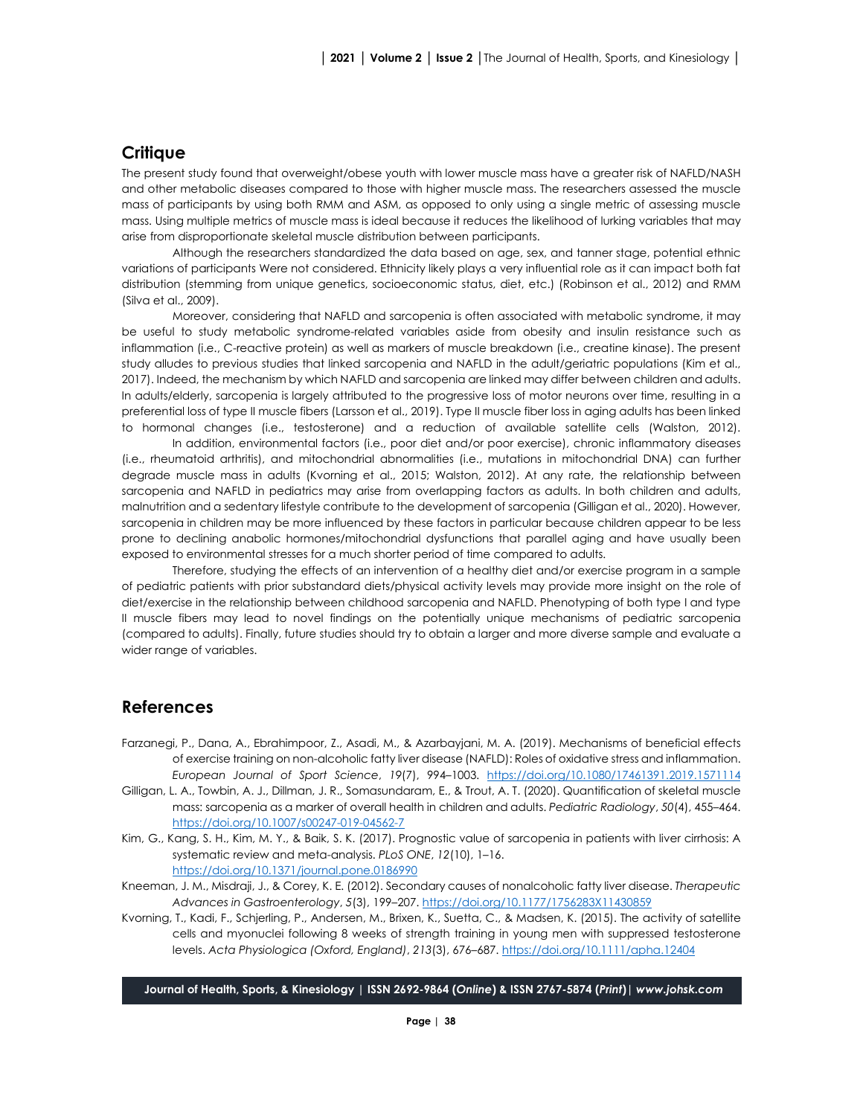#### **Critique**

The present study found that overweight/obese youth with lower muscle mass have a greater risk of NAFLD/NASH and other metabolic diseases compared to those with higher muscle mass. The researchers assessed the muscle mass of participants by using both RMM and ASM, as opposed to only using a single metric of assessing muscle mass. Using multiple metrics of muscle mass is ideal because it reduces the likelihood of lurking variables that may arise from disproportionate skeletal muscle distribution between participants.

Although the researchers standardized the data based on age, sex, and tanner stage, potential ethnic variations of participants Were not considered. Ethnicity likely plays a very influential role as it can impact both fat distribution (stemming from unique genetics, socioeconomic status, diet, etc.) (Robinson et al., 2012) and RMM (Silva et al., 2009).

Moreover, considering that NAFLD and sarcopenia is often associated with metabolic syndrome, it may be useful to study metabolic syndrome-related variables aside from obesity and insulin resistance such as inflammation (i.e., C-reactive protein) as well as markers of muscle breakdown (i.e., creatine kinase). The present study alludes to previous studies that linked sarcopenia and NAFLD in the adult/geriatric populations (Kim et al., 2017). Indeed, the mechanism by which NAFLD and sarcopenia are linked may differ between children and adults. In adults/elderly, sarcopenia is largely attributed to the progressive loss of motor neurons over time, resulting in a preferential loss of type II muscle fibers (Larsson et al., 2019). Type II muscle fiber loss in aging adults has been linked to hormonal changes (i.e., testosterone) and a reduction of available satellite cells (Walston, 2012).

In addition, environmental factors (i.e., poor diet and/or poor exercise), chronic inflammatory diseases (i.e., rheumatoid arthritis), and mitochondrial abnormalities (i.e., mutations in mitochondrial DNA) can further degrade muscle mass in adults (Kvorning et al., 2015; Walston, 2012). At any rate, the relationship between sarcopenia and NAFLD in pediatrics may arise from overlapping factors as adults. In both children and adults, malnutrition and a sedentary lifestyle contribute to the development of sarcopenia (Gilligan et al., 2020). However, sarcopenia in children may be more influenced by these factors in particular because children appear to be less prone to declining anabolic hormones/mitochondrial dysfunctions that parallel aging and have usually been exposed to environmental stresses for a much shorter period of time compared to adults.

Therefore, studying the effects of an intervention of a healthy diet and/or exercise program in a sample of pediatric patients with prior substandard diets/physical activity levels may provide more insight on the role of diet/exercise in the relationship between childhood sarcopenia and NAFLD. Phenotyping of both type I and type II muscle fibers may lead to novel findings on the potentially unique mechanisms of pediatric sarcopenia (compared to adults). Finally, future studies should try to obtain a larger and more diverse sample and evaluate a wider range of variables.

#### **References**

- Farzanegi, P., Dana, A., Ebrahimpoor, Z., Asadi, M., & Azarbayjani, M. A. (2019). Mechanisms of beneficial effects of exercise training on non-alcoholic fatty liver disease (NAFLD): Roles of oxidative stress and inflammation. *European Journal of Sport Science*, *19*(7), 994–1003. <https://doi.org/10.1080/17461391.2019.1571114>
- Gilligan, L. A., Towbin, A. J., Dillman, J. R., Somasundaram, E., & Trout, A. T. (2020). Quantification of skeletal muscle mass: sarcopenia as a marker of overall health in children and adults. *Pediatric Radiology*, *50*(4), 455–464. [https://doi.org/10.1007/s00247](https://doi.org/10.1007/s00247-019-04562-7)-019-04562-7
- Kim, G., Kang, S. H., Kim, M. Y., & Baik, S. K. (2017). Prognostic value of sarcopenia in patients with liver cirrhosis: A systematic review and meta-analysis. *PLoS ONE*, *12*(10), 1–16. <https://doi.org/10.1371/journal.pone.0186990>
- Kneeman, J. M., Misdraji, J., & Corey, K. E. (2012). Secondary causes of nonalcoholic fatty liver disease. *Therapeutic Advances in Gastroenterology*, *5*(3), 199–207[. https://doi.org/10.1177/1756283X11430859](https://doi.org/10.1177/1756283X11430859)
- Kvorning, T., Kadi, F., Schjerling, P., Andersen, M., Brixen, K., Suetta, C., & Madsen, K. (2015). The activity of satellite cells and myonuclei following 8 weeks of strength training in young men with suppressed testosterone levels. *Acta Physiologica (Oxford, England)*, *213*(3), 676–687[. https://doi.org/10.1111/apha.12404](https://doi.org/10.1111/apha.12404)

**Journal of Health, Sports, & Kinesiology | ISSN 2692-9864 (***Online***) & ISSN 2767-5874 (***Print***)|** *www.johsk.com*